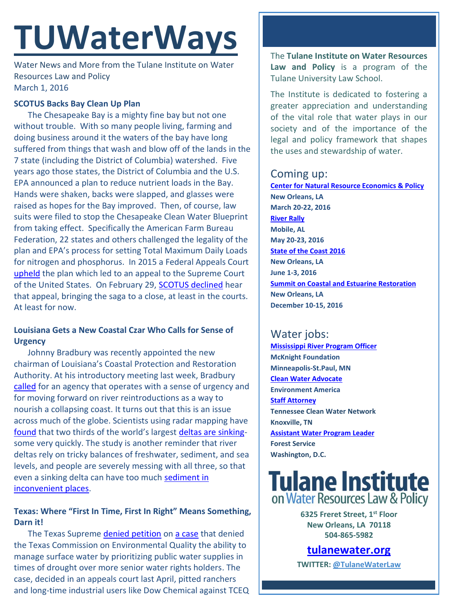# **TUWaterWays**

Water News and More from the Tulane Institute on Water Resources Law and Policy March 1, 2016

#### **SCOTUS Backs Bay Clean Up Plan**

The Chesapeake Bay is a mighty fine bay but not one without trouble. With so many people living, farming and doing business around it the waters of the bay have long suffered from things that wash and blow off of the lands in the 7 state (including the District of Columbia) watershed. Five years ago those states, the District of Columbia and the U.S. EPA announced a plan to reduce nutrient loads in the Bay. Hands were shaken, backs were slapped, and glasses were raised as hopes for the Bay improved. Then, of course, law suits were filed to stop the Chesapeake Clean Water Blueprint from taking effect. Specifically the American Farm Bureau Federation, 22 states and others challenged the legality of the plan and EPA's process for setting Total Maximum Daily Loads for nitrogen and phosphorus. In 2015 a Federal Appeals Court [upheld](http://www.eenews.net/assets/2015/07/06/document_gw_03.pdf) the plan which led to an appeal to the Supreme Court of the United States. On February 29, [SCOTUS declined](http://www.pennlive.com/news/2016/02/supreme_court_ruling_on_chesap.html) hear that appeal, bringing the saga to a close, at least in the courts. At least for now.

## **Louisiana Gets a New Coastal Czar Who Calls for Sense of Urgency**

Johnny Bradbury was recently appointed the new chairman of Louisiana's Coastal Protection and Restoration Authority. At his introductory meeting last week, Bradbury [called](http://www.nola.com/environment/index.ssf/2016/02/states_coastal_goal_finalize_c.html) for an agency that operates with a sense of urgency and for moving forward on river reintroductions as a way to nourish a collapsing coast. It turns out that this is an issue across much of the globe. Scientists using radar mapping have [found](http://gizmodo.com/our-infrastructure-is-literally-causing-the-ground-to-s-1760808196) that two thirds of the world's largest [deltas are sinking](http://phys.org/news/2016-02-world-large-river-deltas-degrade.html)some very quickly. The study is another reminder that river deltas rely on tricky balances of freshwater, sediment, and sea levels, and people are severely messing with all three, so that even a sinking delta can have too much [sediment in](http://www.nola.com/environment/index.ssf/2016/02/sediment-clogged_southwest_pas.html)  [inconvenient places.](http://www.nola.com/environment/index.ssf/2016/02/sediment-clogged_southwest_pas.html)

## **Texas: Where "First In Time, First In Right" Means Something, Darn it!**

The Texas Supreme [denied petition](http://www.txcourts.gov/supreme/orders-opinions/2016/february/february-19,-2016.aspx) on [a case](https://s3.amazonaws.com/static.texastribune.org/media/documents/Opinion_--_TCEQ_v._Texas_Farm_Bureau_00826787x7A30F_1.pdf) that denied the Texas Commission on Environmental Quality the ability to manage surface water by prioritizing public water supplies in times of drought over more senior water rights holders. The case, decided in an appeals court last April, pitted ranchers and long-time industrial users like Dow Chemical against TCEQ

The **Tulane Institute on Water Resources Law and Policy** is a program of the Tulane University Law School.

The Institute is dedicated to fostering a greater appreciation and understanding of the vital role that water plays in our society and of the importance of the legal and policy framework that shapes the uses and stewardship of water.

# Coming up:

**[Center for Natural Resource Economics & Policy](http://www.cnrep.lsu.edu/2016/) New Orleans, LA March 20-22, 2016 [River Rally](https://www.rivernetwork.org/events-learning/river-rally/about/) Mobile, AL May 20-23, 2016 [State of the Coast 2016](http://stateofthecoast.org/) New Orleans, LA June 1-3, 2016 [Summit on Coastal and Estuarine Restoration](https://www.estuaries.org/images/NOLA_2016/2016-Summit-CFP_FINAL-011516.pdf) New Orleans, LA December 10-15, 2016**

# Water jobs:

**[Mississippi River Program Officer](https://www.mcknight.org/newsroom/news-releases/position-announcement-program-officer---mississippi-river-2016?utm_source=McKnight+Foundation+news&utm_campaign=7238289e12-Mississippi_River_Program_Officer_Positi2_24_2016&utm_medium=email&utm_term=0_d62330878c-7238289e12-351831365) McKnight Foundation Minneapolis-St.Paul, MN [Clean Water Advocate](http://jobs.environmentamerica.org/clean-water-advocate.html) Environment America [Staff Attorney](http://www.tcwn.org/job-opening-staff-attorney/) Tennessee Clean Water Network Knoxville, TN [Assistant Water Program Leader](http://www.fishwildlife.org/files/Assistant_Water_PL_Outreach_Jan2016.pdf) Forest Service Washington, D.C.**

# **Tulane Institute** on Water Resources Law & Policy

**6325 Freret Street, 1st Floor New Orleans, LA 70118 504-865-5982** 

# **[tulanewater.org](file:///C:/Users/waterlaw/Downloads/tulanewater.org)**

**TWITTER: [@TulaneWaterLaw](http://www.twitter.com/TulaneWaterLaw)**